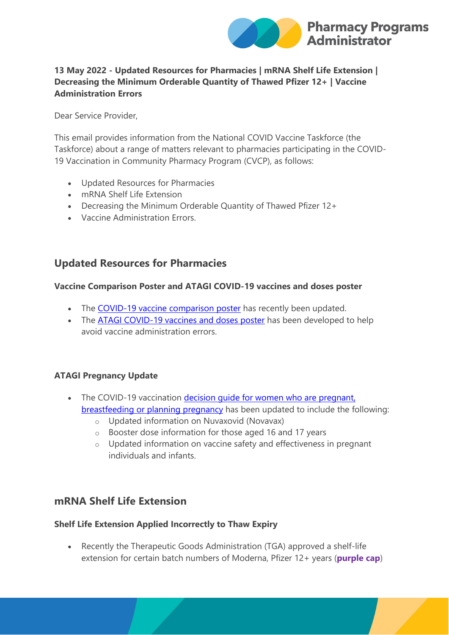

## **13 May 2022 - Updated Resources for Pharmacies | mRNA Shelf Life Extension | Decreasing the Minimum Orderable Quantity of Thawed Pfizer 12+ | Vaccine Administration Errors**

Dear Service Provider,

This email provides information from the National COVID Vaccine Taskforce (the Taskforce) about a range of matters relevant to pharmacies participating in the COVID-19 Vaccination in Community Pharmacy Program (CVCP), as follows:

- Updated Resources for Pharmacies
- mRNA Shelf Life Extension
- Decreasing the Minimum Orderable Quantity of Thawed Pfizer 12+
- Vaccine Administration Errors.

## **Updated Resources for Pharmacies**

#### **Vaccine Comparison Poster and ATAGI COVID-19 vaccines and doses poster**

- The [COVID-19 vaccine comparison poster](https://protect-au.mimecast.com/s/GZrcCMwGv1U6Y1wikpsDc?domain=ppaonline.com.au) has recently been updated.
- The [ATAGI COVID-19 vaccines and doses poster](https://protect-au.mimecast.com/s/iHZLCNLJw0SMp8OIjkNoS?domain=ppaonline.com.au) has been developed to help avoid vaccine administration errors.

#### **ATAGI Pregnancy Update**

- The COVID-19 vaccination decision quide for women who are pregnant, [breastfeeding or planning pregnancy](https://protect-au.mimecast.com/s/VUoFCOMKx8u2kj7HrIAEj?domain=health.gov.au) has been updated to include the following:
	- o Updated information on Nuvaxovid (Novavax)
	- o Booster dose information for those aged 16 and 17 years
	- o Updated information on vaccine safety and effectiveness in pregnant individuals and infants.

# **mRNA Shelf Life Extension**

#### **Shelf Life Extension Applied Incorrectly to Thaw Expiry**

• Recently the Therapeutic Goods Administration (TGA) approved a shelf-life extension for certain batch numbers of Moderna, Pfizer 12+ years (**purple cap**)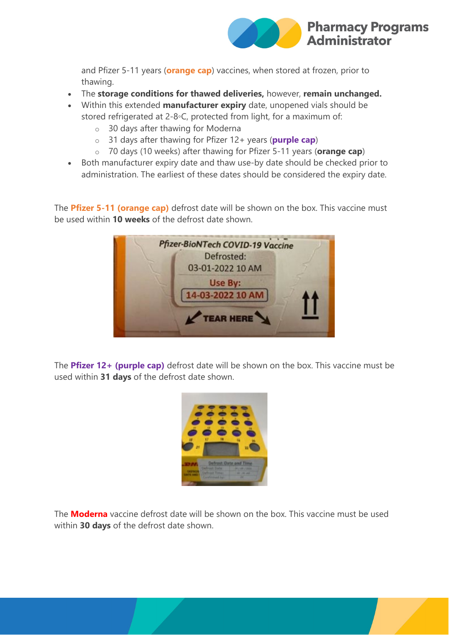

and Pfizer 5-11 years (**orange cap**) vaccines, when stored at frozen, prior to thawing.

- The **storage conditions for thawed deliveries,** however, **remain unchanged.**
- Within this extended **manufacturer expiry** date, unopened vials should be stored refrigerated at 2-8◦C, protected from light, for a maximum of:
	- o 30 days after thawing for Moderna
	- o 31 days after thawing for Pfizer 12+ years (**purple cap**)
	- o 70 days (10 weeks) after thawing for Pfizer 5-11 years (**orange cap**)
- Both manufacturer expiry date and thaw use-by date should be checked prior to administration. The earliest of these dates should be considered the expiry date.

The **Pfizer 5-11 (orange cap)** defrost date will be shown on the box. This vaccine must be used within **10 weeks** of the defrost date shown.



The **Pfizer 12+ (purple cap)** defrost date will be shown on the box. This vaccine must be used within **31 days** of the defrost date shown.



The **Moderna** vaccine defrost date will be shown on the box. This vaccine must be used within **30 days** of the defrost date shown.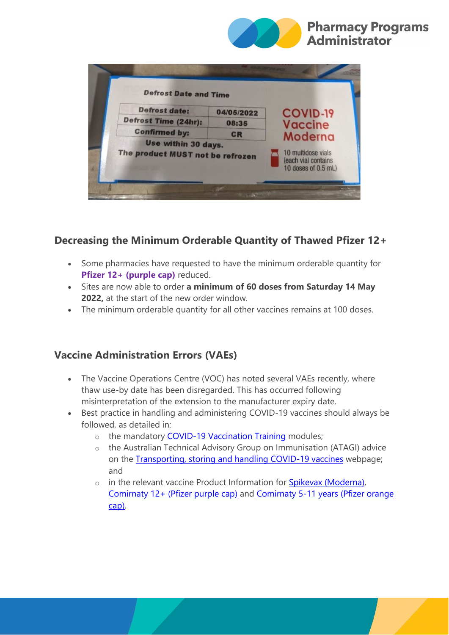

| <b>Defrost Date and Time</b>                            |            |                                                                  |
|---------------------------------------------------------|------------|------------------------------------------------------------------|
| <b>Defrost date:</b>                                    | 04/05/2022 | <b>COVID-19</b>                                                  |
| Defrost Time (24hr):                                    | 08:35      | Vaccine                                                          |
| <b>Confirmed by:</b>                                    | <b>CR</b>  | Moderna                                                          |
| Use within 30 days.<br>The product MUST not be refrozen |            | 10 multidose vials<br>(each vial contains<br>10 doses of 0.5 mL) |

# **Decreasing the Minimum Orderable Quantity of Thawed Pfizer 12+**

- Some pharmacies have requested to have the minimum orderable quantity for **Pfizer 12+ (purple cap)** reduced.
- Sites are now able to order **a minimum of 60 doses from Saturday 14 May 2022,** at the start of the new order window.
- The minimum orderable quantity for all other vaccines remains at 100 doses.

# **Vaccine Administration Errors (VAEs)**

- The Vaccine Operations Centre (VOC) has noted several VAEs recently, where thaw use-by date has been disregarded. This has occurred following misinterpretation of the extension to the manufacturer expiry date.
- Best practice in handling and administering COVID-19 vaccines should always be followed, as detailed in:
	- o the mandatory [COVID-19 Vaccination Training](https://protect-au.mimecast.com/s/B7qNCP7LyQf5nRjF6FOqz?domain=health.gov.au) modules;
	- o the Australian Technical Advisory Group on Immunisation (ATAGI) advice on the [Transporting, storing and handling COVID-19 vaccines](https://protect-au.mimecast.com/s/_B-wCQnMz7fNLp2iAs055?domain=health.gov.au) webpage; and
	- $\circ$  in the relevant vaccine Product Information for [Spikevax \(Moderna\),](https://protect-au.mimecast.com/s/z-63CRONA1ugX1MIQCnGF?domain=ebs.tga.gov.au) [Comirnaty 12+ \(Pfizer purple cap\)](https://protect-au.mimecast.com/s/KTVwCVARGQTP86WCE-tGJ?domain=tga.gov.au) and [Comirnaty 5-11 years \(Pfizer orange](https://protect-au.mimecast.com/s/YjrJCWLVJqSy8KMuO7mVk?domain=tga.gov.au)  [cap\).](https://protect-au.mimecast.com/s/YjrJCWLVJqSy8KMuO7mVk?domain=tga.gov.au)